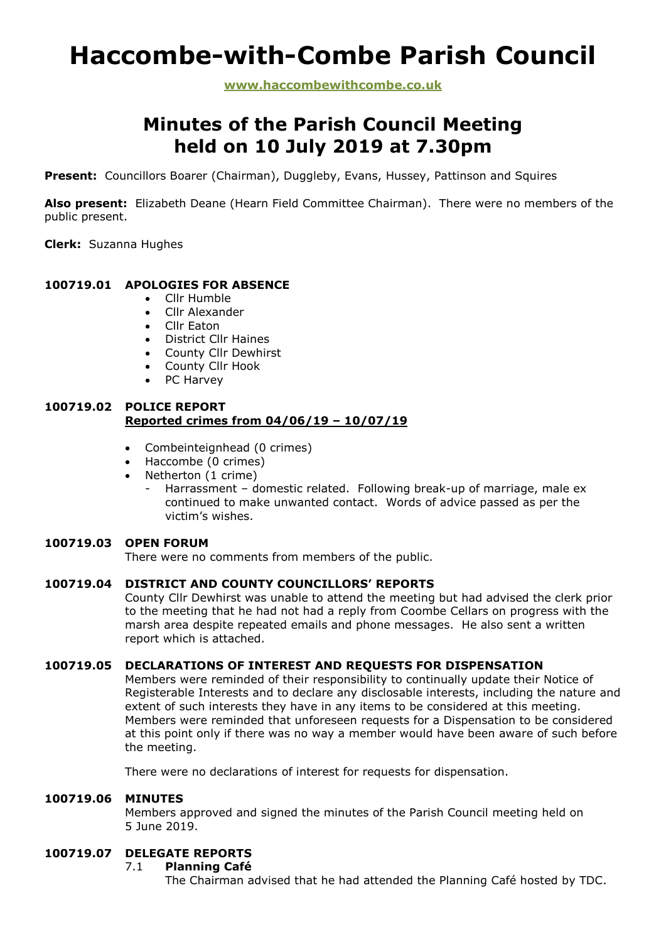# **Haccombe-with-Combe Parish Council**

**www.haccombewithcombe.co.uk**

# **Minutes of the Parish Council Meeting held on 10 July 2019 at 7.30pm**

**Present:** Councillors Boarer (Chairman), Duggleby, Evans, Hussey, Pattinson and Squires

**Also present:** Elizabeth Deane (Hearn Field Committee Chairman). There were no members of the public present.

**Clerk:** Suzanna Hughes

# **100719.01 APOLOGIES FOR ABSENCE**

- Cllr Humble
- Cllr Alexander
- Cllr Eaton
- District Cllr Haines
- County Cllr Dewhirst
- County Cllr Hook
- PC Harvey

# **100719.02 POLICE REPORT Reported crimes from 04/06/19 – 10/07/19**

- Combeinteignhead (0 crimes)
- Haccombe (0 crimes)
- Netherton (1 crime)
	- Harrassment domestic related. Following break-up of marriage, male ex continued to make unwanted contact. Words of advice passed as per the victim's wishes.

#### **100719.03 OPEN FORUM**

There were no comments from members of the public.

#### **100719.04 DISTRICT AND COUNTY COUNCILLORS' REPORTS**

County Cllr Dewhirst was unable to attend the meeting but had advised the clerk prior to the meeting that he had not had a reply from Coombe Cellars on progress with the marsh area despite repeated emails and phone messages. He also sent a written report which is attached.

# **100719.05 DECLARATIONS OF INTEREST AND REQUESTS FOR DISPENSATION**

Members were reminded of their responsibility to continually update their Notice of Registerable Interests and to declare any disclosable interests, including the nature and extent of such interests they have in any items to be considered at this meeting. Members were reminded that unforeseen requests for a Dispensation to be considered at this point only if there was no way a member would have been aware of such before the meeting.

There were no declarations of interest for requests for dispensation.

#### **100719.06 MINUTES**

Members approved and signed the minutes of the Parish Council meeting held on 5 June 2019.

# **100719.07 DELEGATE REPORTS**

#### 7.1 **Planning Café**

The Chairman advised that he had attended the Planning Café hosted by TDC.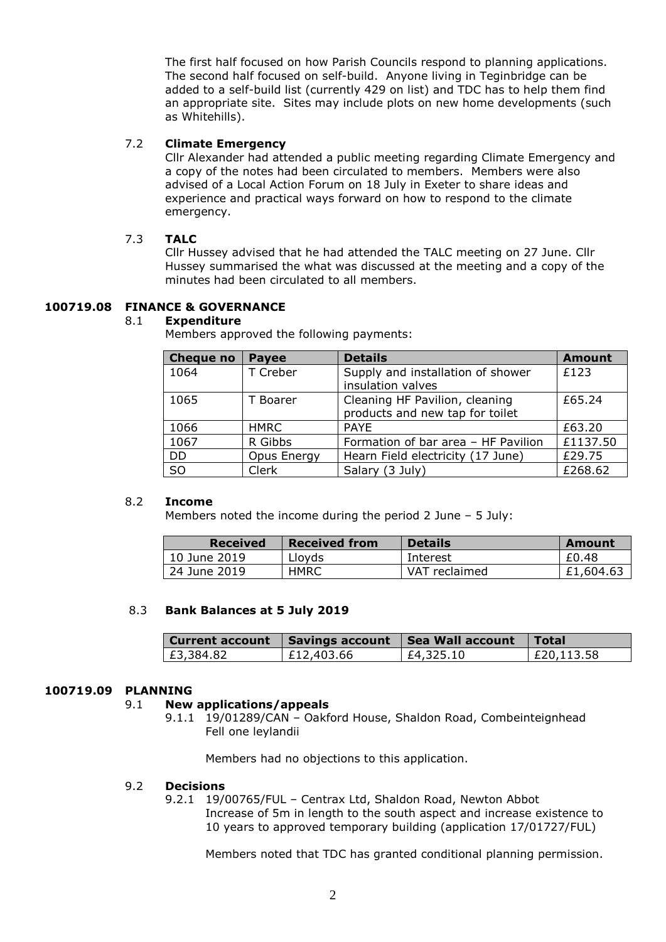The first half focused on how Parish Councils respond to planning applications. The second half focused on self-build. Anyone living in Teginbridge can be added to a self-build list (currently 429 on list) and TDC has to help them find an appropriate site. Sites may include plots on new home developments (such as Whitehills).

# 7.2 **Climate Emergency**

Cllr Alexander had attended a public meeting regarding Climate Emergency and a copy of the notes had been circulated to members. Members were also advised of a Local Action Forum on 18 July in Exeter to share ideas and experience and practical ways forward on how to respond to the climate emergency.

# 7.3 **TALC**

Cllr Hussey advised that he had attended the TALC meeting on 27 June. Cllr Hussey summarised the what was discussed at the meeting and a copy of the minutes had been circulated to all members.

# **100719.08 FINANCE & GOVERNANCE**

#### 8.1 **Expenditure**

Members approved the following payments:

| <b>Cheque no</b> | <b>Payee</b> | <b>Details</b>                                                    | <b>Amount</b> |
|------------------|--------------|-------------------------------------------------------------------|---------------|
| 1064             | T Creber     | Supply and installation of shower<br>insulation valves            | £123          |
| 1065             | T Boarer     | Cleaning HF Pavilion, cleaning<br>products and new tap for toilet | £65.24        |
| 1066             | <b>HMRC</b>  | <b>PAYE</b>                                                       | £63.20        |
| 1067             | R Gibbs      | Formation of bar area - HF Pavilion                               | £1137.50      |
| <b>DD</b>        | Opus Energy  | Hearn Field electricity (17 June)                                 | £29.75        |
| S <sub>O</sub>   | Clerk        | Salary (3 July)                                                   | £268.62       |

#### 8.2 **Income**

Members noted the income during the period 2 June – 5 July:

| <b>Received</b> | <b>Received from</b> | <b>Details</b> | Amount    |
|-----------------|----------------------|----------------|-----------|
| 10 June 2019    | Lloyds               | Interest       | £0.48     |
| 24 June 2019    | <b>HMRC</b>          | VAT reclaimed  | £1,604.63 |

#### 8.3 **Bank Balances at 5 July 2019**

|                        |              | Current account   Savings account   Sea Wall account   Total |            |
|------------------------|--------------|--------------------------------------------------------------|------------|
| <sup>1</sup> £3,384.82 | E12,403.66 L | £4,325.10                                                    | £20,113.58 |

#### **100719.09 PLANNING**

# 9.1 **New applications/appeals**

9.1.1 19/01289/CAN – Oakford House, Shaldon Road, Combeinteignhead Fell one leylandii

Members had no objections to this application.

#### 9.2 **Decisions**

9.2.1 19/00765/FUL – Centrax Ltd, Shaldon Road, Newton Abbot Increase of 5m in length to the south aspect and increase existence to 10 years to approved temporary building (application 17/01727/FUL)

Members noted that TDC has granted conditional planning permission.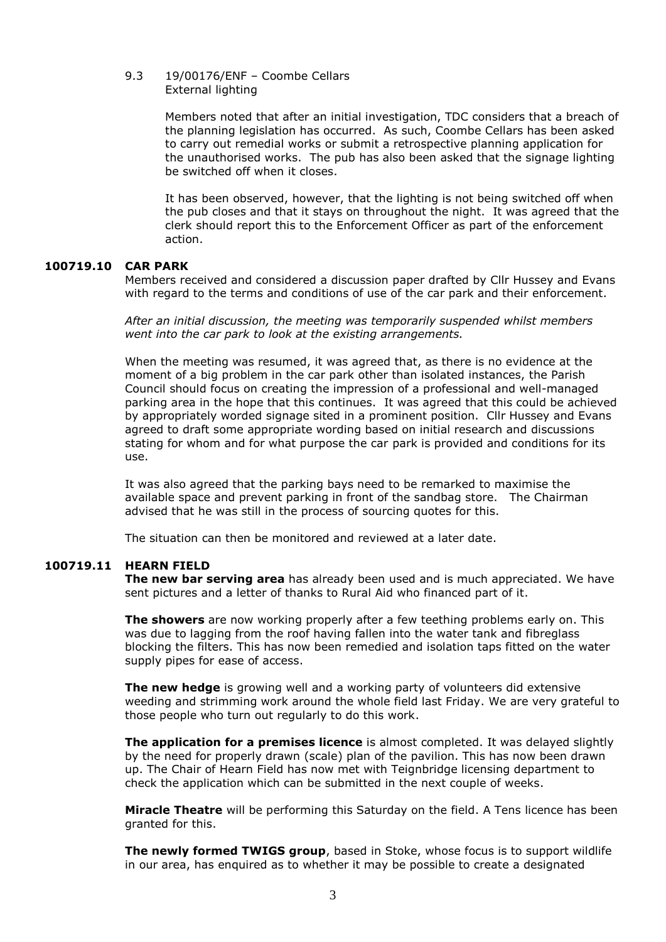#### 9.3 19/00176/ENF – Coombe Cellars External lighting

Members noted that after an initial investigation, TDC considers that a breach of the planning legislation has occurred. As such, Coombe Cellars has been asked to carry out remedial works or submit a retrospective planning application for the unauthorised works. The pub has also been asked that the signage lighting be switched off when it closes.

It has been observed, however, that the lighting is not being switched off when the pub closes and that it stays on throughout the night. It was agreed that the clerk should report this to the Enforcement Officer as part of the enforcement action.

#### **100719.10 CAR PARK**

Members received and considered a discussion paper drafted by Cllr Hussey and Evans with regard to the terms and conditions of use of the car park and their enforcement.

*After an initial discussion, the meeting was temporarily suspended whilst members went into the car park to look at the existing arrangements.*

When the meeting was resumed, it was agreed that, as there is no evidence at the moment of a big problem in the car park other than isolated instances, the Parish Council should focus on creating the impression of a professional and well-managed parking area in the hope that this continues. It was agreed that this could be achieved by appropriately worded signage sited in a prominent position. Cllr Hussey and Evans agreed to draft some appropriate wording based on initial research and discussions stating for whom and for what purpose the car park is provided and conditions for its use.

It was also agreed that the parking bays need to be remarked to maximise the available space and prevent parking in front of the sandbag store. The Chairman advised that he was still in the process of sourcing quotes for this.

The situation can then be monitored and reviewed at a later date.

#### **100719.11 HEARN FIELD**

**The new bar serving area** has already been used and is much appreciated. We have sent pictures and a letter of thanks to Rural Aid who financed part of it.

**The showers** are now working properly after a few teething problems early on. This was due to lagging from the roof having fallen into the water tank and fibreglass blocking the filters. This has now been remedied and isolation taps fitted on the water supply pipes for ease of access.

**The new hedge** is growing well and a working party of volunteers did extensive weeding and strimming work around the whole field last Friday. We are very grateful to those people who turn out regularly to do this work.

**The application for a premises licence** is almost completed. It was delayed slightly by the need for properly drawn (scale) plan of the pavilion. This has now been drawn up. The Chair of Hearn Field has now met with Teignbridge licensing department to check the application which can be submitted in the next couple of weeks.

**Miracle Theatre** will be performing this Saturday on the field. A Tens licence has been granted for this.

**The newly formed TWIGS group**, based in Stoke, whose focus is to support wildlife in our area, has enquired as to whether it may be possible to create a designated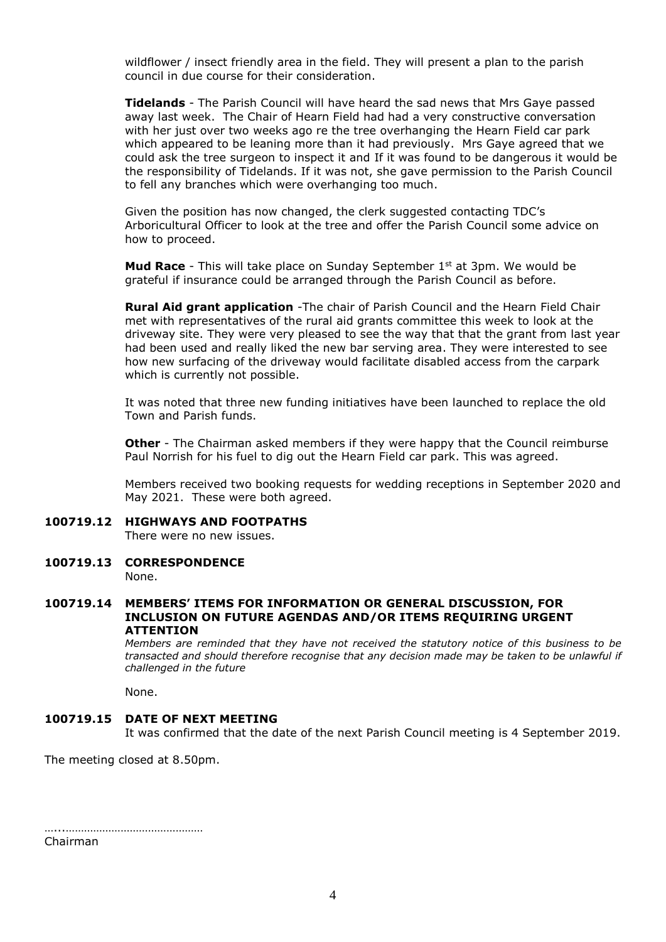wildflower / insect friendly area in the field. They will present a plan to the parish council in due course for their consideration.

**Tidelands** - The Parish Council will have heard the sad news that Mrs Gaye passed away last week. The Chair of Hearn Field had had a very constructive conversation with her just over two weeks ago re the tree overhanging the Hearn Field car park which appeared to be leaning more than it had previously. Mrs Gaye agreed that we could ask the tree surgeon to inspect it and If it was found to be dangerous it would be the responsibility of Tidelands. If it was not, she gave permission to the Parish Council to fell any branches which were overhanging too much.

Given the position has now changed, the clerk suggested contacting TDC's Arboricultural Officer to look at the tree and offer the Parish Council some advice on how to proceed.

**Mud Race** - This will take place on Sunday September 1<sup>st</sup> at 3pm. We would be grateful if insurance could be arranged through the Parish Council as before.

**Rural Aid grant application** -The chair of Parish Council and the Hearn Field Chair met with representatives of the rural aid grants committee this week to look at the driveway site. They were very pleased to see the way that that the grant from last year had been used and really liked the new bar serving area. They were interested to see how new surfacing of the driveway would facilitate disabled access from the carpark which is currently not possible.

It was noted that three new funding initiatives have been launched to replace the old Town and Parish funds.

**Other** - The Chairman asked members if they were happy that the Council reimburse Paul Norrish for his fuel to dig out the Hearn Field car park. This was agreed.

Members received two booking requests for wedding receptions in September 2020 and May 2021. These were both agreed.

- **100719.12 HIGHWAYS AND FOOTPATHS** There were no new issues.
- **100719.13 CORRESPONDENCE** None.

#### **100719.14 MEMBERS' ITEMS FOR INFORMATION OR GENERAL DISCUSSION, FOR INCLUSION ON FUTURE AGENDAS AND/OR ITEMS REQUIRING URGENT ATTENTION**

*Members are reminded that they have not received the statutory notice of this business to be transacted and should therefore recognise that any decision made may be taken to be unlawful if challenged in the future*

None.

#### **100719.15 DATE OF NEXT MEETING**

It was confirmed that the date of the next Parish Council meeting is 4 September 2019.

The meeting closed at 8.50pm.

…...……………………………………… Chairman